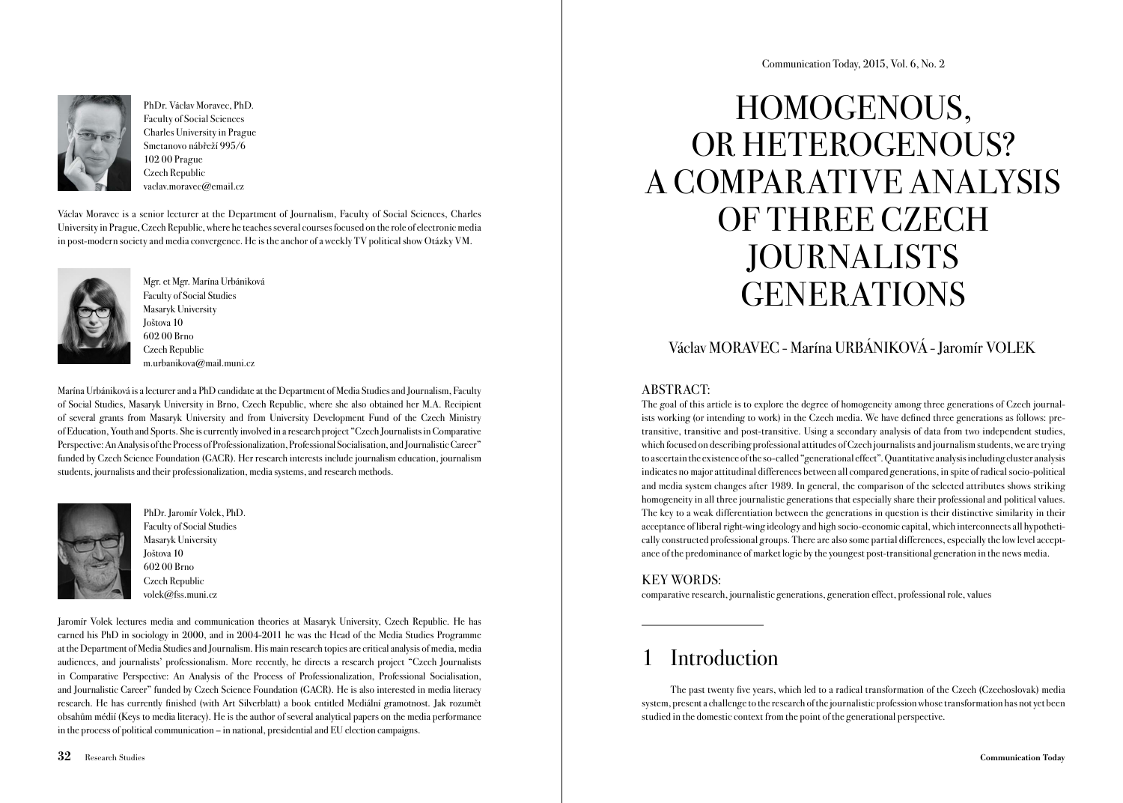

PhDr. Václav Moravec, PhD. Faculty of Social Sciences Charles University in Prague Smetanovo nábřeží 995/6 102 00 Prague Czech Republic vaclav.moravec@email.cz

Václav Moravec is a senior lecturer at the Department of Journalism, Faculty of Social Sciences, Charles University in Prague, Czech Republic, where he teaches several courses focused on the role of electronic media in post-modern society and media convergence. He is the anchor of a weekly TV political show Otázky VM.



Mgr. et Mgr. Marína Urbániková Faculty of Social Studies Masaryk University Joštova 10 602 00 Brno Czech Republic m.urbanikova@mail.muni.cz

Marína Urbániková is a lecturer and a PhD candidate at the Department of Media Studies and Journalism, Faculty of Social Studies, Masaryk University in Brno, Czech Republic, where she also obtained her M.A. Recipient of several grants from Masaryk University and from University Development Fund of the Czech Ministry of Education, Youth and Sports. She is currently involved in a research project "Czech Journalists in Comparative Perspective: An Analysis of the Process of Professionalization, Professional Socialisation, and Journalistic Career" funded by Czech Science Foundation (GACR). Her research interests include journalism education, journalism students, journalists and their professionalization, media systems, and research methods.



PhDr. Jaromír Volek, PhD. Faculty of Social Studies Masaryk University Joštova 10 602 00 Brno Czech Republic volek@fss.muni.cz

Jaromír Volek lectures media and communication theories at Masaryk University, Czech Republic. He has earned his PhD in sociology in 2000, and in 2004-2011 he was the Head of the Media Studies Programme at the Department of Media Studies and Journalism. His main research topics are critical analysis of media, media audiences, and journalists' professionalism. More recently, he directs a research project "Czech Journalists in Comparative Perspective: An Analysis of the Process of Professionalization, Professional Socialisation, and Journalistic Career" funded by Czech Science Foundation (GACR). He is also interested in media literacy research. He has currently finished (with Art Silverblatt) a book entitled Mediální gramotnost. Jak rozumět obsahům médií (Keys to media literacy). He is the author of several analytical papers on the media performance in the process of political communication – in national, presidential and EU election campaigns.

# HOMOGENOUS, OR HETEROGENOUS? A COMPARATIVE ANALYSIS OF THREE CZECH JOURNALISTS **GENERATIONS**

# Václav MORAVEC - Marína URBÁNIKOVÁ - Jaromír VOLEK

# ABSTRACT:

The goal of this article is to explore the degree of homogeneity among three generations of Czech journalists working (or intending to work) in the Czech media. We have defined three generations as follows: pretransitive, transitive and post-transitive. Using a secondary analysis of data from two independent studies, which focused on describing professional attitudes of Czech journalists and journalism students, we are trying to ascertain the existence of the so-called "generational effect". Quantitative analysis including cluster analysis indicates no major attitudinal differences between all compared generations, in spite of radical socio-political and media system changes after 1989. In general, the comparison of the selected attributes shows striking homogeneity in all three journalistic generations that especially share their professional and political values. The key to a weak differentiation between the generations in question is their distinctive similarity in their acceptance of liberal right-wing ideology and high socio-economic capital, which interconnects all hypothetically constructed professional groups. There are also some partial differences, especially the low level acceptance of the predominance of market logic by the youngest post-transitional generation in the news media.

# KEY WORDS:

comparative research, journalistic generations, generation effect, professional role, values

# **Introduction**

The past twenty five years, which led to a radical transformation of the Czech (Czechoslovak) media system, present a challenge to the research of the journalistic profession whose transformation has not yet been studied in the domestic context from the point of the generational perspective.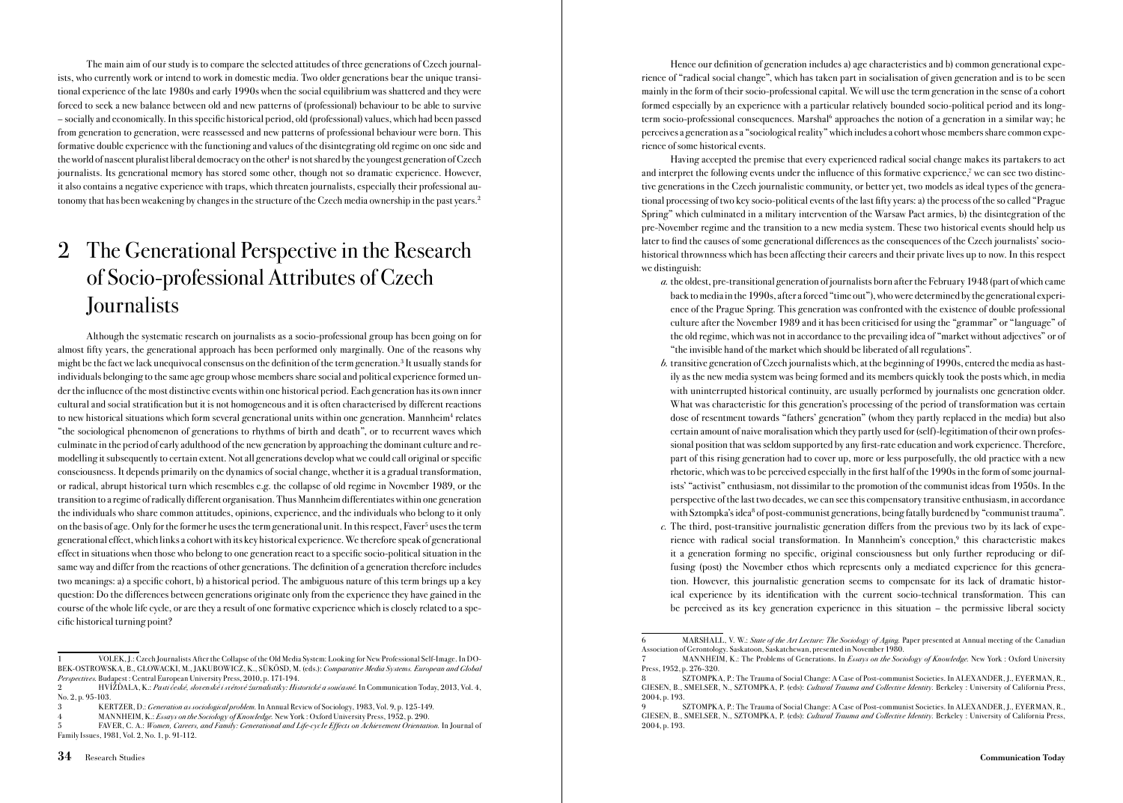The main aim of our study is to compare the selected attitudes of three generations of Czech journalists, who currently work or intend to work in domestic media. Two older generations bear the unique transitional experience of the late 1980s and early 1990s when the social equilibrium was shattered and they were forced to seek a new balance between old and new patterns of (professional) behaviour to be able to survive – socially and economically. In this specific historical period, old (professional) values, which had been passed from generation to generation, were reassessed and new patterns of professional behaviour were born. This formative double experience with the functioning and values of the disintegrating old regime on one side and the world of nascent pluralist liberal democracy on the other<sup>1</sup> is not shared by the youngest generation of Czech journalists. Its generational memory has stored some other, though not so dramatic experience. However, it also contains a negative experience with traps, which threaten journalists, especially their professional autonomy that has been weakening by changes in the structure of the Czech media ownership in the past years.2

# 2 The Generational Perspective in the Research of Socio-professional Attributes of Czech **Journalists**

Although the systematic research on journalists as a socio-professional group has been going on for almost fifty years, the generational approach has been performed only marginally. One of the reasons why might be the fact we lack unequivocal consensus on the definition of the term generation.<sup>3</sup> It usually stands for individuals belonging to the same age group whose members share social and political experience formed under the influence of the most distinctive events within one historical period. Each generation has its own inner cultural and social stratification but it is not homogeneous and it is often characterised by different reactions to new historical situations which form several generational units within one generation. Mannheim<sup>4</sup> relates "the sociological phenomenon of generations to rhythms of birth and death", or to recurrent waves which culminate in the period of early adulthood of the new generation by approaching the dominant culture and remodelling it subsequently to certain extent. Not all generations develop what we could call original or specific consciousness. It depends primarily on the dynamics of social change, whether it is a gradual transformation, or radical, abrupt historical turn which resembles e.g. the collapse of old regime in November 1989, or the transition to a regime of radically different organisation. Thus Mannheim differentiates within one generation the individuals who share common attitudes, opinions, experience, and the individuals who belong to it only on the basis of age. Only for the former he uses the term generational unit. In this respect, Faver<sup>5</sup> uses the term generational effect, which links a cohort with its key historical experience. We therefore speak of generational effect in situations when those who belong to one generation react to a specific socio-political situation in the same way and differ from the reactions of other generations. The definition of a generation therefore includes two meanings: a) a specific cohort, b) a historical period. The ambiguous nature of this term brings up a key question: Do the differences between generations originate only from the experience they have gained in the course of the whole life cycle, or are they a result of one formative experience which is closely related to a specific historical turning point?

Hence our definition of generation includes a) age characteristics and b) common generational experience of "radical social change", which has taken part in socialisation of given generation and is to be seen mainly in the form of their socio-professional capital. We will use the term generation in the sense of a cohort formed especially by an experience with a particular relatively bounded socio-political period and its longterm socio-professional consequences. Marshal<sup>6</sup> approaches the notion of a generation in a similar way; he perceives a generation as a "sociological reality" which includes a cohort whose members share common experience of some historical events.

Having accepted the premise that every experienced radical social change makes its partakers to act and interpret the following events under the influence of this formative experience,<sup>7</sup> we can see two distinctive generations in the Czech journalistic community, or better yet, two models as ideal types of the generational processing of two key socio-political events of the last fifty years: a) the process of the so called "Prague Spring" which culminated in a military intervention of the Warsaw Pact armies, b) the disintegration of the pre-November regime and the transition to a new media system. These two historical events should help us later to find the causes of some generational differences as the consequences of the Czech journalists' sociohistorical thrownness which has been affecting their careers and their private lives up to now. In this respect we distinguish:

- a. the oldest, pre-transitional generation of journalists born after the February 1948 (part of which came back to media in the 1990s, after a forced "time out"), who were determined by the generational experience of the Prague Spring. This generation was confronted with the existence of double professional culture after the November 1989 and it has been criticised for using the "grammar" or "language" of the old regime, which was not in accordance to the prevailing idea of "market without adjectives" or of "the invisible hand of the market which should be liberated of all regulations".
- b. transitive generation of Czech journalists which, at the beginning of 1990s, entered the media as hastily as the new media system was being formed and its members quickly took the posts which, in media with uninterrupted historical continuity, are usually performed by journalists one generation older. What was characteristic for this generation's processing of the period of transformation was certain dose of resentment towards "fathers' generation" (whom they partly replaced in the media) but also certain amount of naive moralisation which they partly used for (self)-legitimation of their own professional position that was seldom supported by any first-rate education and work experience. Therefore, part of this rising generation had to cover up, more or less purposefully, the old practice with a new rhetoric, which was to be perceived especially in the first half of the 1990s in the form of some journalists' "activist" enthusiasm, not dissimilar to the promotion of the communist ideas from 1950s. In the perspective of the last two decades, we can see this compensatory transitive enthusiasm, in accordance with Sztompka's idea<sup>8</sup> of post-communist generations, being fatally burdened by "communist trauma".
- c. The third, post-transitive journalistic generation differs from the previous two by its lack of experience with radical social transformation. In Mannheim's conception,<sup>9</sup> this characteristic makes it a generation forming no specific, original consciousness but only further reproducing or diffusing (post) the November ethos which represents only a mediated experience for this generation. However, this journalistic generation seems to compensate for its lack of dramatic historical experience by its identification with the current socio-technical transformation. This can be perceived as its key generation experience in this situation – the permissive liberal society

<sup>1</sup> VOLEK, J.: Czech Journalists After the Collapse of the Old Media System: Looking for New Professional Self-Image. In DO-BEK-OSTROWSKA, B., GŁOWACKI, M., JAKUBOWICZ, K., SÜKÖSD, M. (eds.): Comparative Media Systems. European and Global Perspectives. Budapest : Central European University Press, 2010, p. 171-194.

HVÍŽĎALA, K.: Pasti české, slovenské i světové žurnalistiky: Historické a současné. In Communication Today, 2013, Vol. 4, No. 2, p. 95-103.

<sup>3</sup> KERTZER, D.: Generation as sociological problem. In Annual Review of Sociology, 1983, Vol. 9, p. 125-149.

MANNHEIM, K.: Essays on the Sociology of Knowledge. New York : Oxford University Press, 1952, p. 290.

FAVER, C. A.: Women, Careers, and Family: Generational and Life-cycle Effects on Achievement Orientation. In Journal of Family Issues, 1981, Vol. 2, No. 1, p. 91-112.

MARSHALL, V. W.: State of the Art Lecture: The Sociology of Aging. Paper presented at Annual meeting of the Canadian Association of Gerontology. Saskatoon, Saskatchewan, presented in November 1980.

MANNHEIM, K.: The Problems of Generations. In *Essays on the Sociology of Knowledge*. New York : Oxford University Press, 1952, p. 276-320.

<sup>8</sup> SZTOMPKA, P.: The Trauma of Social Change: A Case of Post-communist Societies. In ALEXANDER, J., EYERMAN, R., GIESEN, B., SMELSER, N., SZTOMPKA, P. (eds): Cultural Trauma and Collective Identity. Berkeley : University of California Press, 2004, p. 193.

<sup>9</sup> SZTOMPKA, P.: The Trauma of Social Change: A Case of Post-communist Societies. In ALEXANDER, J., EYERMAN, R., GIESEN, B., SMELSER, N., SZTOMPKA, P. (eds): Cultural Trauma and Collective Identity. Berkeley : University of California Press, 2004, p. 193.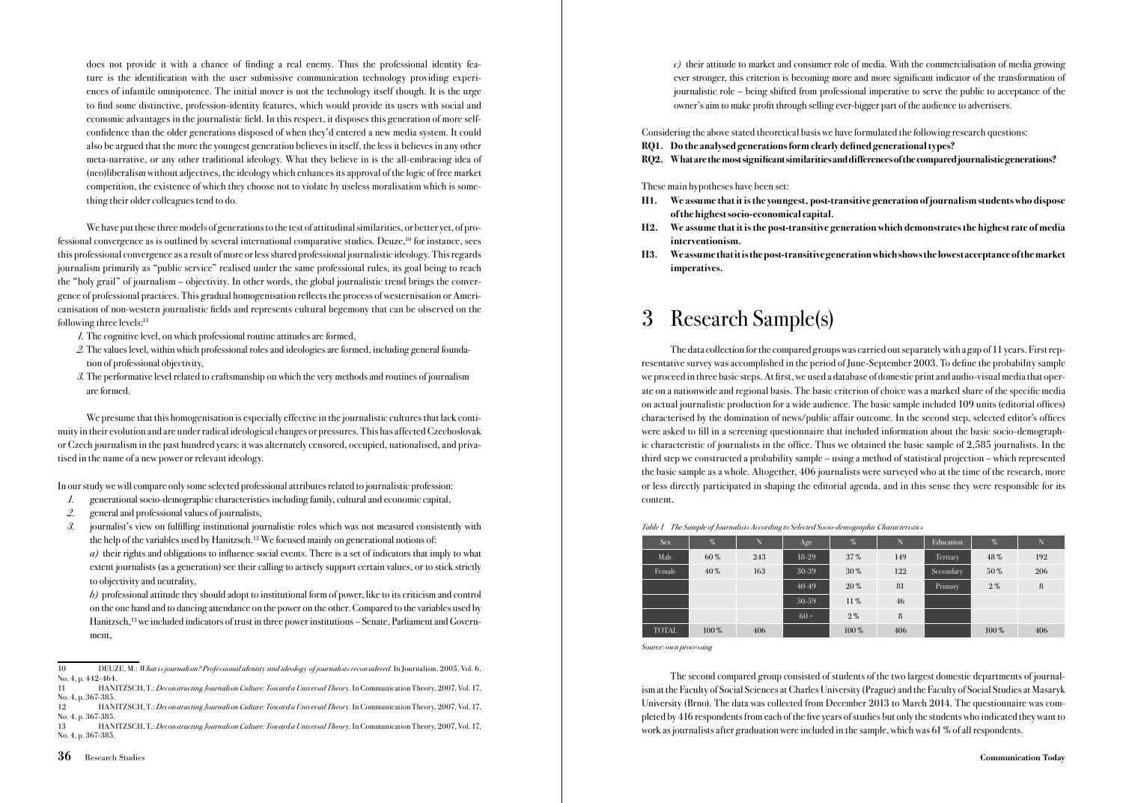does not provide it with a chance of finding a real enemy. Thus the professional identity feature is the identification with the user submissive communication technology providing experiences of infantile omnipotence. The initial mover is not the technology itself though. It is the urge to find some distinctive, profession-identity features, which would provide its users with social and economic advantages in the journalistic field. In this respect, it disposes this generation of more selfconfidence than the older generations disposed of when they'd entered a new media system. It could also be argued that the more the youngest generation believes in itself, the less it believes in any other meta-narrative, or any other traditional ideology. What they believe in is the all-embracing idea of (neo)liberalism without adjectives, the ideology which enhances its approval of the logic of free market competition, the existence of which they choose not to violate by useless moralisation which is something their older colleagues tend to do.

We have put these three models of generations to the test of attitudinal similarities, or better yet, of professional convergence as is outlined by several international comparative studies. Deuze,10 for instance, sees this professional convergence as a result of more or less shared professional journalistic ideology. This regards journalism primarily as "public service" realised under the same professional rules, its goal being to reach the "holy grail" of journalism – objectivity. In other words, the global journalistic trend brings the convergence of professional practices. This gradual homogenisation reflects the process of westernisation or Americanisation of non-western journalistic fields and represents cultural hegemony that can be observed on the following three levels:11

- 1. The cognitive level, on which professional routine attitudes are formed,
- 2. The values level, within which professional roles and ideologies are formed, including general foundation of professional objectivity,
- 3. The performative level related to craftsmanship on which the very methods and routines of journalism are formed.

We presume that this homogenisation is especially effective in the journalistic cultures that lack continuity in their evolution and are under radical ideological changes or pressures. This has affected Czechoslovak or Czech journalism in the past hundred years: it was alternately censored, occupied, nationalised, and privatised in the name of a new power or relevant ideology.

In our study we will compare only some selected professional attributes related to journalistic profession:

- 1. generational socio-demographic characteristics including family, cultural and economic capital,
- 2. general and professional values of journalists,
- 3. journalist's view on fulfilling institutional journalistic roles which was not measured consistently with the help of the variables used by Hanitzsch.12 We focused mainly on generational notions of:

 a) their rights and obligations to influence social events. There is a set of indicators that imply to what extent journalists (as a generation) see their calling to actively support certain values, or to stick strictly to objectivity and neutrality,

 $b$ ) professional attitude they should adopt to institutional form of power, like to its criticism and control on the one hand and to dancing attendance on the power on the other. Compared to the variables used by Hanitzsch,<sup>13</sup> we included indicators of trust in three power institutions – Senate, Parliament and Government,

 $c)$  their attitude to market and consumer role of media. With the commercialisation of media growing ever stronger, this criterion is becoming more and more significant indicator of the transformation of journalistic role – being shifted from professional imperative to serve the public to acceptance of the owner's aim to make profit through selling ever-bigger part of the audience to advertisers.

Considering the above stated theoretical basis we have formulated the following research questions:

RQ1. Do the analysed generations form clearly defined generational types?

### RQ2. What are the most significant similarities and differences of the compared journalistic generations?

These main hypotheses have been set:

- H1. We assume that it is the youngest, post-transitive generation of journalism students who dispose of the highest socio-economical capital.
- H2. We assume that it is the post-transitive generation which demonstrates the highest rate of media interventionism.
- H3. We assume that it is the post-transitive generation which shows the lowest acceptance of the market imperatives.

# 3 Research Sample(s)

The data collection for the compared groups was carried out separately with a gap of 11 years. First representative survey was accomplished in the period of June-September 2003. To define the probability sample we proceed in three basic steps. At first, we used a database of domestic print and audio-visual media that operate on a nationwide and regional basis. The basic criterion of choice was a marked share of the specific media on actual journalistic production for a wide audience. The basic sample included 109 units (editorial offices) characterised by the domination of news/public affair outcome. In the second step, selected editor's offices were asked to fill in a screening questionnaire that included information about the basic socio-demographic characteristic of journalists in the office. Thus we obtained the basic sample of 2,585 journalists. In the third step we constructed a probability sample – using a method of statistical projection – which represented the basic sample as a whole. Altogether, 406 journalists were surveyed who at the time of the research, more or less directly participated in shaping the editorial agenda, and in this sense they were responsible for its content.

| <b>Sex</b>   | $\frac{9}{20}$ | N   | Age       | $\frac{9}{20}$ | N   | Education | $\%$    | $\mathbf N$ |
|--------------|----------------|-----|-----------|----------------|-----|-----------|---------|-------------|
| Male         | 60%            | 243 | $18-29$   | 37%            | 149 | Tertiary  | 48%     | 192         |
| Female       | 40%            | 163 | 30-39     | 30%            | 122 | Secondary | 50%     | 206         |
|              |                |     | $40 - 49$ | $20\%$         | 81  | Primary   | $2\%$   | 8           |
|              |                |     | $50-59$   | $11\%$         | 46  |           |         |             |
|              |                |     | $60 +$    | $2\%$          | 8   |           |         |             |
| <b>TOTAL</b> | $100\%$        | 406 |           | $100\%$        | 406 |           | $100\%$ | 406         |

Table 1 The Sample of Journalists According to Selected Socio-demographic Characteristics

Source: own processing

The second compared group consisted of students of the two largest domestic departments of journalism at the Faculty of Social Sciences at Charles University (Prague) and the Faculty of Social Studies at Masaryk University (Brno). The data was collected from December 2013 to March 2014. The questionnaire was completed by 416 respondents from each of the five years of studies but only the students who indicated they want to work as journalists after graduation were included in the sample, which was 61 % of all respondents.

<sup>10</sup> DEUZE, M.: What is journalism? Professional identity and ideology of journalists reconsidered. In Journalism, 2005, Vol. 6, No. 4, p. 442-464.

<sup>11</sup> HANITZSCH, T.: Deconstructing Journalism Culture: Toward a Universal Theory. In Communication Theory, 2007, Vol. 17, No. 4, p. 367-385.

<sup>12</sup> HANITZSCH, T.: Deconstructing Journalism Culture: Toward a Universal Theory. In Communication Theory, 2007, Vol. 17, No. 4, p. 367-385.<br>13 HAN

<sup>13</sup> HANITZSCH, T.: Deconstructing Journalism Culture: Toward a Universal Theory. In Communication Theory, 2007, Vol. 17, No. 4, p. 367-385.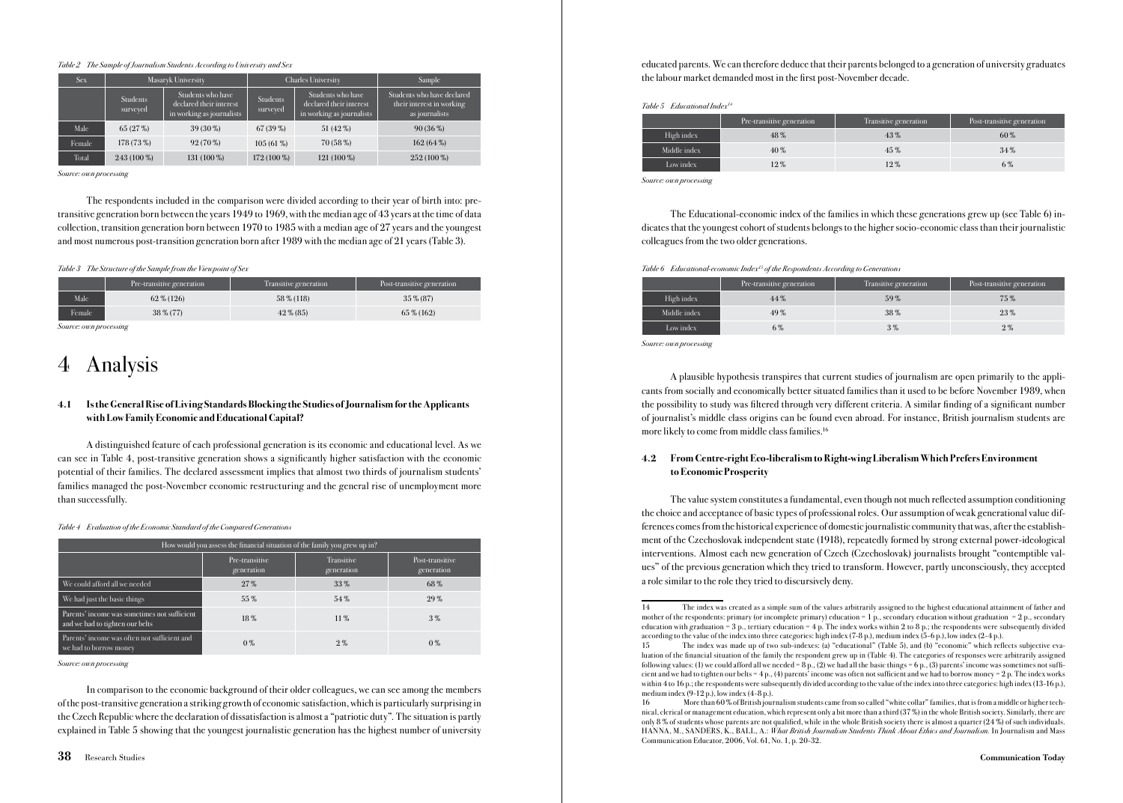#### Table 2 The Sample of Journalism Students According to University and Sex

| <b>Sex</b> | Masaryk University   |                                                                           | <b>Charles University</b>   |                                                                           | Sample                                                                    |
|------------|----------------------|---------------------------------------------------------------------------|-----------------------------|---------------------------------------------------------------------------|---------------------------------------------------------------------------|
|            | Students<br>surveyed | Students who have<br>declared their interest<br>in working as journalists | <b>Students</b><br>surveyed | Students who have<br>declared their interest<br>in working as journalists | Students who have declared<br>their interest in working<br>as journalists |
| Male       | 65 (27 %)            | 39 (30 %)                                                                 | 67 (39 %)                   | 51 (42 %)                                                                 | $90(36\%)$                                                                |
| Female     | 178 (73 %)           | $92(70\%)$                                                                | $105(61\%)$                 | 70 (58 %)                                                                 | $162(64\%)$                                                               |
| Total      | $243(100\%)$         | 131 (100 %)                                                               | $172(100\%)$                | 121 (100 %)                                                               | $252(100\%)$                                                              |

Source: own processing

The respondents included in the comparison were divided according to their year of birth into: pretransitive generation born between the years 1949 to 1969, with the median age of 43 years at the time of data collection, transition generation born between 1970 to 1985 with a median age of 27 years and the youngest and most numerous post-transition generation born after 1989 with the median age of 21 years (Table 3).

#### Table 3 The Structure of the Sample from the Viewpoint of Sex

|        | Pre-transitive generation | Transitive generation | Post-transitive generation |
|--------|---------------------------|-----------------------|----------------------------|
| Male   | 62 % (126)                | 58 % (118)            | $35\% (87)$                |
| Female | 38 % (77)                 | $42\%$ (85)           | 65 % (162)                 |

Source: own processing

# 4 Analysis

### 4.1 Is the General Rise of Living Standards Blocking the Studies of Journalism for the Applicants with Low Family Economic and Educational Capital?

A distinguished feature of each professional generation is its economic and educational level. As we can see in Table 4, post-transitive generation shows a significantly higher satisfaction with the economic potential of their families. The declared assessment implies that almost two thirds of journalism students' families managed the post-November economic restructuring and the general rise of unemployment more than successfully.

Table 4 Evaluation of the Economic Standard of the Compared Generations

| How would you assess the financial situation of the family you grew up in?      |                              |                          |                               |  |  |  |
|---------------------------------------------------------------------------------|------------------------------|--------------------------|-------------------------------|--|--|--|
|                                                                                 | Pre-transitive<br>generation | Transitive<br>generation | Post-transitive<br>generation |  |  |  |
| We could afford all we needed                                                   | $27\%$                       | 33%                      | 68%                           |  |  |  |
| We had just the basic things                                                    | 55%                          | 54%                      | $29\%$                        |  |  |  |
| Parents' income was sometimes not sufficient<br>and we had to tighten our belts | 18%                          | $11\%$                   | 3%                            |  |  |  |
| Parents' income was often not sufficient and<br>we had to borrow money          | $0\%$                        | $2\%$                    | $0\%$                         |  |  |  |

Source: own processing

In comparison to the economic background of their older colleagues, we can see among the members of the post-transitive generation a striking growth of economic satisfaction, which is particularly surprising in the Czech Republic where the declaration of dissatisfaction is almost a "patriotic duty". The situation is partly explained in Table 5 showing that the youngest journalistic generation has the highest number of university

Table 5 Educational Index14

|              | Pre-transitive generation | Transitive generation | Post-transitive generation |
|--------------|---------------------------|-----------------------|----------------------------|
| High index   | 48%                       | 43%                   | $60\%$                     |
| Middle index | 40%                       | 45%                   | 34%                        |
| Low index    | 12%                       | 12%                   | 6%                         |

Source: own processing

The Educational-economic index of the families in which these generations grew up (see Table 6) indicates that the youngest cohort of students belongs to the higher socio-economic class than their journalistic colleagues from the two older generations.

Table 6 Educational-economic Index<sup>15</sup> of the Respondents According to Generation.

|              | Pre-transitive generation | Transitive generation | Post-transitive generation |
|--------------|---------------------------|-----------------------|----------------------------|
| High index   | $44\%$                    | 59%                   | 75%                        |
| Middle index | 49%                       | 38%                   | $23\%$                     |
| Low index    | 6%                        | 3%                    | $2\%$                      |

Source: own processing

A plausible hypothesis transpires that current studies of journalism are open primarily to the applicants from socially and economically better situated families than it used to be before November 1989, when the possibility to study was filtered through very different criteria. A similar finding of a significant number of journalist's middle class origins can be found even abroad. For instance, British journalism students are more likely to come from middle class families.<sup>16</sup>

### 4.2 From Centre-right Eco-liberalism to Right-wing Liberalism Which Prefers Environment to Economic Prosperity

The value system constitutes a fundamental, even though not much reflected assumption conditioning the choice and acceptance of basic types of professional roles. Our assumption of weak generational value differences comes from the historical experience of domestic journalistic community that was, after the establishment of the Czechoslovak independent state (1918), repeatedly formed by strong external power-ideological interventions. Almost each new generation of Czech (Czechoslovak) journalists brought "contemptible values" of the previous generation which they tried to transform. However, partly unconsciously, they accepted a role similar to the role they tried to discursively deny.

<sup>14</sup> The index was created as a simple sum of the values arbitrarily assigned to the highest educational attainment of father and mother of the respondents: primary (or incomplete primary) education = 1 p., secondary education without graduation = 2 p., secondary education with graduation = 3 p., tertiary education = 4 p. The index works within 2 to 8 p.; the respondents were subsequently divided according to the value of the index into three categories: high index (7-8 p.), medium index (5-6 p.), low index (2-4 p.).

<sup>15</sup> The index was made up of two sub-indexes: (a) "educational" (Table 5), and (b) "economic" which reflects subjective evaluation of the financial situation of the family the respondent grew up in (Table 4). The categories of responses were arbitrarily assigned following values: (1) we could afford all we needed = 8 p., (2) we had all the basic things = 6 p., (3) parents' income was sometimes not sufficient and we had to tighten our belts =  $4 p$ ,  $(4)$  parents' income was often not sufficient and we had to borrow money =  $2 p$ . The index works within 4 to 16 p.; the respondents were subsequently divided according to the value of the index into three categories: high index (13-16 p.), medium index  $(9-12 \text{ p.})$ , low index  $(4-8 \text{ p.})$ .

<sup>16</sup> More than 60% of British journalism students came from so called "white collar" families, that is from a middle or higher technical, clerical or management education, which represent only a bit more than a third (37 %) in the whole British society. Similarly, there are only 8 % of students whose parents are not qualified, while in the whole British society there is almost a quarter (24 %) of such individuals. HANNA, M., SANDERS, K., BALL, A.: What British Journalism Students Think About Ethics and Journalism. In Journalism and Mass Communication Educator, 2006, Vol. 61, No. 1, p. 20-32.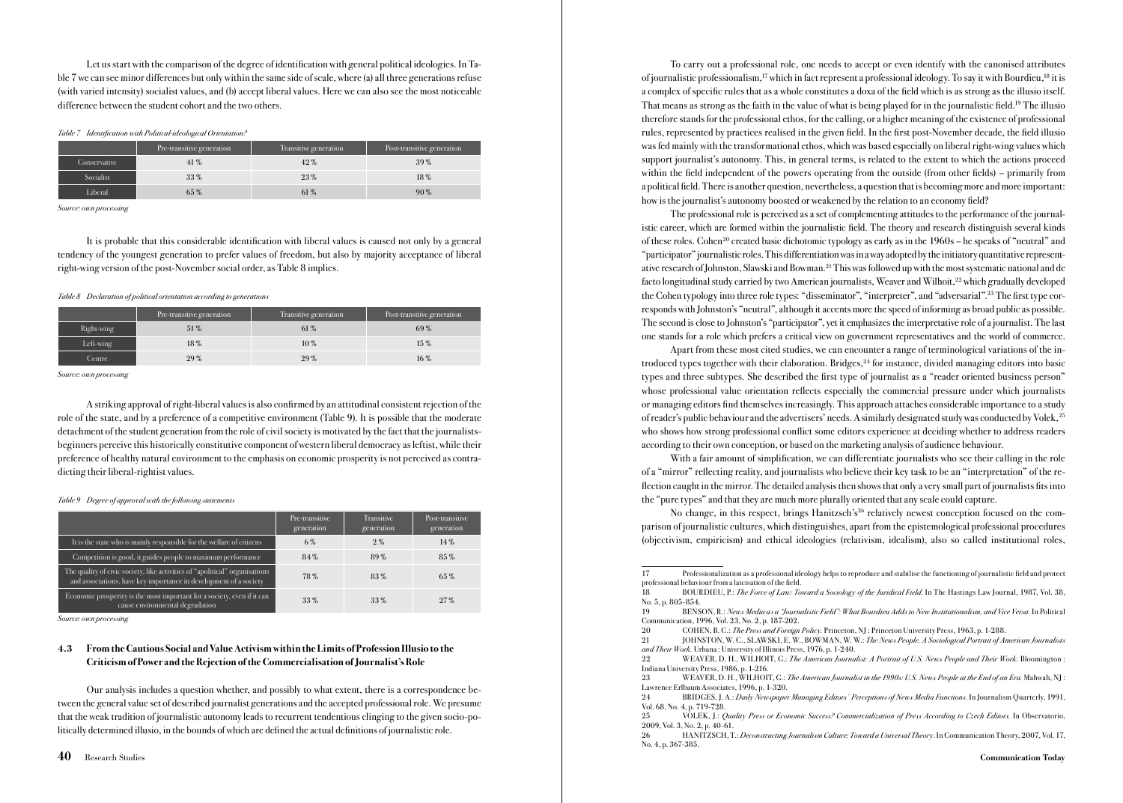Let us start with the comparison of the degree of identification with general political ideologies. In Table 7 we can see minor differences but only within the same side of scale, where (a) all three generations refuse (with varied intensity) socialist values, and (b) accept liberal values. Here we can also see the most noticeable difference between the student cohort and the two others.

### Table 7 Identification with Political-ideological Orientation?

|              | Pre-transitive generation | Transitive generation | Post-transitive generation |
|--------------|---------------------------|-----------------------|----------------------------|
| Conservative | 41%                       | 42%                   | 39%                        |
| Socialist    | 33%                       | 23%                   | 18%                        |
| Liberal      | 65%                       | 61%                   | $90\%$                     |

Source: own processing

It is probable that this considerable identification with liberal values is caused not only by a general tendency of the youngest generation to prefer values of freedom, but also by majority acceptance of liberal right-wing version of the post-November social order, as Table 8 implies.

#### Table 8 Declaration of political orientation according to generations

|            | Pre-transitive generation | Transitive generation | Post-transitive generation |
|------------|---------------------------|-----------------------|----------------------------|
| Right-wing | 51%                       | 61%                   | 69%                        |
| Left-wing  | 18%                       | 10%                   | 15%                        |
| Centre     | 29%                       | 29%                   | 16%                        |

Source: own processing

A striking approval of right-liberal values is also confirmed by an attitudinal consistent rejection of the role of the state, and by a preference of a competitive environment (Table 9). It is possible that the moderate detachment of the student generation from the role of civil society is motivated by the fact that the journalistsbeginners perceive this historically constitutive component of western liberal democracy as leftist, while their preference of healthy natural environment to the emphasis on economic prosperity is not perceived as contradicting their liberal-rightist values.

Table 9 Degree of approval with the following statements

|                                                                                                                                                  | Pre-transitive<br>generation | Transitive<br>generation | Post-transitive<br>generation |
|--------------------------------------------------------------------------------------------------------------------------------------------------|------------------------------|--------------------------|-------------------------------|
| It is the state who is mainly responsible for the welfare of citizens                                                                            | 6%                           | $2\%$                    | 14%                           |
| Competition is good, it guides people to maximum performance                                                                                     | 84%                          | 89%                      | 85%                           |
| The quality of civic society, like activities of "apolitical" organisations<br>and associations, have key importance in development of a society | 78%                          | 83%                      | $65\%$                        |
| Economic prosperity is the most important for a society, even if it can<br>cause environmental degradation                                       | $33\%$                       | $33\%$                   | 27%                           |

Source: own processing

### 4.3 From the Cautious Social and Value Activism within the Limits of Profession Illusio to the Criticism of Power and the Rejection of the Commercialisation of Journalist's Role

Our analysis includes a question whether, and possibly to what extent, there is a correspondence between the general value set of described journalist generations and the accepted professional role. We presume that the weak tradition of journalistic autonomy leads to recurrent tendentious clinging to the given socio-politically determined illusio, in the bounds of which are defined the actual definitions of journalistic role.

To carry out a professional role, one needs to accept or even identify with the canonised attributes of journalistic professionalism,17 which in fact represent a professional ideology. To say it with Bourdieu,18 it is a complex of specific rules that as a whole constitutes a doxa of the field which is as strong as the illusio itself. That means as strong as the faith in the value of what is being played for in the journalistic field.19 The illusio therefore stands for the professional ethos, for the calling, or a higher meaning of the existence of professional rules, represented by practices realised in the given field. In the first post-November decade, the field illusio was fed mainly with the transformational ethos, which was based especially on liberal right-wing values which support journalist's autonomy. This, in general terms, is related to the extent to which the actions proceed within the field independent of the powers operating from the outside (from other fields) – primarily from a political field. There is another question, nevertheless, a question that is becoming more and more important: how is the journalist's autonomy boosted or weakened by the relation to an economy field?

The professional role is perceived as a set of complementing attitudes to the performance of the journalistic career, which are formed within the journalistic field. The theory and research distinguish several kinds of these roles. Cohen<sup>20</sup> created basic dichotomic typology as early as in the  $1960s$  – he speaks of "neutral" and "participator" journalistic roles. This differentiation was in a way adopted by the initiatory quantitative representative research of Johnston, Slawski and Bowman.21 This was followed up with the most systematic national and de facto longitudinal study carried by two American journalists, Weaver and Wilhoit,22 which gradually developed the Cohen typology into three role types: "disseminator", "interpreter", and "adversarial".23 The first type corresponds with Johnston's "neutral", although it accents more the speed of informing as broad public as possible. The second is close to Johnston's "participator", yet it emphasizes the interpretative role of a journalist. The last one stands for a role which prefers a critical view on government representatives and the world of commerce.

Apart from these most cited studies, we can encounter a range of terminological variations of the introduced types together with their elaboration. Bridges,<sup>24</sup> for instance, divided managing editors into basic types and three subtypes. She described the first type of journalist as a "reader oriented business person" whose professional value orientation reflects especially the commercial pressure under which journalists or managing editors find themselves increasingly. This approach attaches considerable importance to a study of reader's public behaviour and the advertisers' needs. A similarly designated study was conducted by Volek,25 who shows how strong professional conflict some editors experience at deciding whether to address readers according to their own conception, or based on the marketing analysis of audience behaviour.

With a fair amount of simplification, we can differentiate journalists who see their calling in the role of a "mirror" reflecting reality, and journalists who believe their key task to be an "interpretation" of the reflection caught in the mirror. The detailed analysis then shows that only a very small part of journalists fits into the "pure types" and that they are much more plurally oriented that any scale could capture.

No change, in this respect, brings Hanitzsch's<sup>26</sup> relatively newest conception focused on the comparison of journalistic cultures, which distinguishes, apart from the epistemological professional procedures (objectivism, empiricism) and ethical ideologies (relativism, idealism), also so called institutional roles,

<sup>17</sup> Professionalization as a professional ideology helps to reproduce and stabilise the functioning of journalistic field and protect professional behaviour from a laicisation of the field.

<sup>18</sup> BOURDIEU, P.: The Force of Law: Toward a Sociology of the Juridical Field. In The Hastings Law Journal, 1987, Vol. 38, No. 5, p. 805-854.<br>19 RENS

<sup>19</sup> BENSON, R.: News Media as a "Journalistic Field": What Bourdieu Adds to New Institutionalism, and Vice Versa. In Political Communication, 1996, Vol. 23, No. 2, p. 187-202.

<sup>20</sup> COHEN, B. C.: *The Press and Foreign Policy*: Princeton, NJ: Princeton University Press, 1963, p. 1-288.<br>21 IOHNSTON, W. C.. SLAWSKI, E. W., BOWMAN, W. W.: *The News People. A Sociological Portrait of A*.

<sup>21</sup> JOHNSTON, W. C., SLAWSKI, E. W., BOWMAN, W. W.: The News People. A Sociological Portrait of American Journalists and Their Work. Urbana: University of Illinois Press, 1976, p. 1-240.<br>22 WEAVER D. H. WILHOUT C. The American Journal

WEAVER, D. H., WILHOIT, G.: The American Journalist: A Portrait of U.S. News People and Their Work. Bloomington Indiana University Press, 1986, p. 1-216.

<sup>23</sup> WEAVER, D. H., WILHOIT, G.: The American Journalist in the 1990s: U.S. News People at the End of an Era. Mahwah, NJ Lawrence Erlbaum Associates, 1996, p. 1-320.

<sup>24</sup> BRIDGES, J. A.: Daily Newspaper Managing Editors' Perceptions of News Media Functions. In Journalism Quarterly, 1991, Vol. 68, No. 4, p. 719-728.

<sup>25</sup> VOLEK, J.: Quality Press or Economic Success? Commercialization of Press According to Czech Editors. In Observatorio, 2009, Vol. 3, No. 2, p. 40-61.

<sup>26</sup> HANITZSCH, T.: Deconstructing Journalism Culture: Toward a Universal Theory. In Communication Theory, 2007, Vol. 17, No. 4, p. 367-385.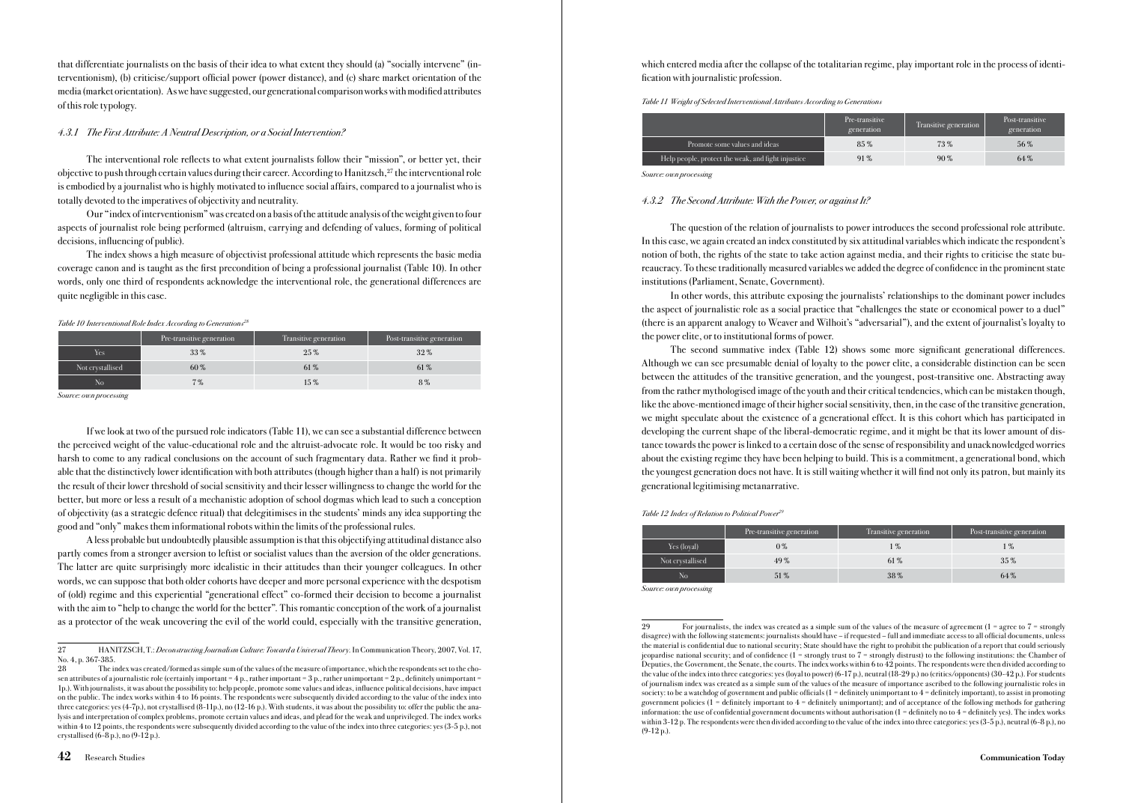that differentiate journalists on the basis of their idea to what extent they should (a) "socially intervene" (interventionism), (b) criticise/support official power (power distance), and (c) share market orientation of the media (market orientation). As we have suggested, our generational comparison works with modified attributes of this role typology.

#### 4.3.1 The First Attribute: A Neutral Description, or a Social Intervention?

The interventional role reflects to what extent journalists follow their "mission", or better yet, their objective to push through certain values during their career. According to Hanitzsch, $^{27}$  the interventional role is embodied by a journalist who is highly motivated to influence social affairs, compared to a journalist who is totally devoted to the imperatives of objectivity and neutrality.

Our "index of interventionism" was created on a basis of the attitude analysis of the weight given to four aspects of journalist role being performed (altruism, carrying and defending of values, forming of political decisions, influencing of public).

The index shows a high measure of objectivist professional attitude which represents the basic media coverage canon and is taught as the first precondition of being a professional journalist (Table 10). In other words, only one third of respondents acknowledge the interventional role, the generational differences are quite negligible in this case.

#### Table 10 Interventional Role Index According to Generations<sup>21</sup>

|                  | Pre-transitive generation | Transitive generation | Post-transitive generation |
|------------------|---------------------------|-----------------------|----------------------------|
| Yes              | 33%                       | $25\%$                | 32%                        |
| Not crystallised | $60\%$                    | 61%                   | 61 %                       |
| No               | $7\%$                     | $15\%$                | 8%                         |

Source: own processing

If we look at two of the pursued role indicators (Table 11), we can see a substantial difference between the perceived weight of the value-educational role and the altruist-advocate role. It would be too risky and harsh to come to any radical conclusions on the account of such fragmentary data. Rather we find it probable that the distinctively lower identification with both attributes (though higher than a half) is not primarily the result of their lower threshold of social sensitivity and their lesser willingness to change the world for the better, but more or less a result of a mechanistic adoption of school dogmas which lead to such a conception of objectivity (as a strategic defence ritual) that delegitimises in the students' minds any idea supporting the good and "only" makes them informational robots within the limits of the professional rules.

A less probable but undoubtedly plausible assumption is that this objectifying attitudinal distance also partly comes from a stronger aversion to leftist or socialist values than the aversion of the older generations. The latter are quite surprisingly more idealistic in their attitudes than their younger colleagues. In other words, we can suppose that both older cohorts have deeper and more personal experience with the despotism of (old) regime and this experiential "generational effect" co-formed their decision to become a journalist with the aim to "help to change the world for the better". This romantic conception of the work of a journalist as a protector of the weak uncovering the evil of the world could, especially with the transitive generation, which entered media after the collapse of the totalitarian regime, play important role in the process of identification with journalistic profession.

Table 11 Weight of Selected Interventional Attributes According to Generations

|                                                    | Pre-transitive<br>generation | Transitive generation | Post-transitive<br>generation |
|----------------------------------------------------|------------------------------|-----------------------|-------------------------------|
| Promote some values and ideas                      | $85\%$                       | 73%                   | 56%                           |
| Help people, protect the weak, and fight injustice | 91%                          | $90\%$                | 64%                           |

Source: own processing

### 4.3.2 The Second Attribute: With the Power, or against It?

The question of the relation of journalists to power introduces the second professional role attribute. In this case, we again created an index constituted by six attitudinal variables which indicate the respondent's notion of both, the rights of the state to take action against media, and their rights to criticise the state bureaucracy. To these traditionally measured variables we added the degree of confidence in the prominent state institutions (Parliament, Senate, Government).

In other words, this attribute exposing the journalists' relationships to the dominant power includes the aspect of journalistic role as a social practice that "challenges the state or economical power to a duel" (there is an apparent analogy to Weaver and Wilhoit's "adversarial"), and the extent of journalist's loyalty to the power elite, or to institutional forms of power.

The second summative index (Table 12) shows some more significant generational differences. Although we can see presumable denial of loyalty to the power elite, a considerable distinction can be seen between the attitudes of the transitive generation, and the youngest, post-transitive one. Abstracting away from the rather mythologised image of the youth and their critical tendencies, which can be mistaken though, like the above-mentioned image of their higher social sensitivity, then, in the case of the transitive generation, we might speculate about the existence of a generational effect. It is this cohort which has participated in developing the current shape of the liberal-democratic regime, and it might be that its lower amount of distance towards the power is linked to a certain dose of the sense of responsibility and unacknowledged worries about the existing regime they have been helping to build. This is a commitment, a generational bond, which the youngest generation does not have. It is still waiting whether it will find not only its patron, but mainly its generational legitimising metanarrative.

#### Table 12 Index of Relation to Political Power<sup>2</sup>

|                  | Pre-transitive generation | Transitive generation | Post-transitive generation |
|------------------|---------------------------|-----------------------|----------------------------|
| Yes (loyal)      | $0\%$                     | 1 %                   | l %                        |
| Not crystallised | 49%                       | 61%                   | $35\%$                     |
| No               | 51%                       | 38%                   | 64%                        |

Source: own processing

For journalists, the index was created as a simple sum of the values of the measure of agreement ( $1 =$  agree to  $7 =$  strongly disagree) with the following statements: journalists should have – if requested – full and immediate access to all official documents, unless the material is confidential due to national security; State should have the right to prohibit the publication of a report that could seriously jeopardise national security; and of confidence  $(1 -$  strongly trust to  $7 -$  strongly distrust) to the following institutions: the Chamber of Deputies, the Government, the Senate, the courts. The index works within 6 to 42 points. The respondents were then divided according to the value of the index into three categories: yes (loyal to power) (6-17 p.), neutral (18-29 p.) no (critics/opponents) (30-42 p.). For students of journalism index was created as a simple sum of the values of the measure of importance ascribed to the following journalistic roles in society: to be a watchdog of government and public officials (1 = definitely unimportant to 4 = definitely important), to assist in promoting government policies (1 = definitely important to 4 = definitely unimportant); and of acceptance of the following methods for gathering information: the use of confidential government documents without authorisation (1 = definitely no to 4 = definitely yes). The index works within 3-12 p. The respondents were then divided according to the value of the index into three categories: yes (3-5 p.), neutral (6-8 p.), no (9-12 p.).

<sup>27</sup> HANITZSCH, T.: Deconstructing Journalism Culture: Toward a Universal Theory. In Communication Theory, 2007, Vol. 17, No. 4, p. 367-385.

<sup>28</sup> The index was created/formed as simple sum of the values of the measure of importance, which the respondents set to the chosen attributes of a journalistic role (certainly important = 4 p., rather important = 3 p., rather unimportant = 2 p., definitely unimportant = 1p.). With journalists, it was about the possibility to: help people, promote some values and ideas, influence political decisions, have impact on the public. The index works within 4 to 16 points. The respondents were subsequently divided according to the value of the index into three categories: yes (4-7p.), not crystallised (8-11p.), no (12-16 p.). With students, it was about the possibility to: offer the public the analysis and interpretation of complex problems, promote certain values and ideas, and plead for the weak and unprivileged. The index works within 4 to 12 points, the respondents were subsequently divided according to the value of the index into three categories: yes (3-5 p.), not crystallised  $(6-8 p)$ , no  $(9-12 p)$ .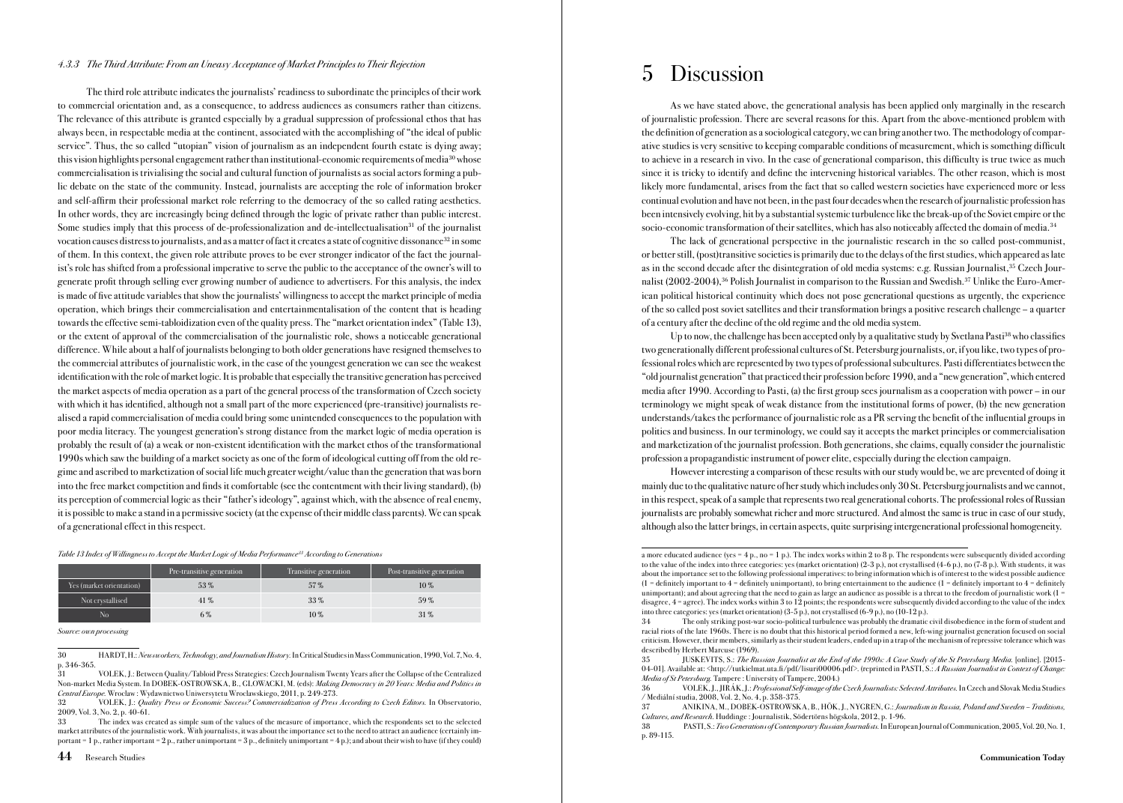### 4.3.3 The Third Attribute: From an Uneasy Acceptance of Market Principles to Their Rejection

The third role attribute indicates the journalists' readiness to subordinate the principles of their work to commercial orientation and, as a consequence, to address audiences as consumers rather than citizens. The relevance of this attribute is granted especially by a gradual suppression of professional ethos that has always been, in respectable media at the continent, associated with the accomplishing of "the ideal of public service". Thus, the so called "utopian" vision of journalism as an independent fourth estate is dying away; this vision highlights personal engagement rather than institutional-economic requirements of media<sup>30</sup> whose commercialisation is trivialising the social and cultural function of journalists as social actors forming a public debate on the state of the community. Instead, journalists are accepting the role of information broker and self-affirm their professional market role referring to the democracy of the so called rating aesthetics. In other words, they are increasingly being defined through the logic of private rather than public interest. Some studies imply that this process of de-professionalization and de-intellectualisation<sup>31</sup> of the journalist vocation causes distress to journalists, and as a matter of fact it creates a state of cognitive dissonance<sup>32</sup> in some of them. In this context, the given role attribute proves to be ever stronger indicator of the fact the journalist's role has shifted from a professional imperative to serve the public to the acceptance of the owner's will to generate profit through selling ever growing number of audience to advertisers. For this analysis, the index is made of five attitude variables that show the journalists' willingness to accept the market principle of media operation, which brings their commercialisation and entertainmentalisation of the content that is heading towards the effective semi-tabloidization even of the quality press. The "market orientation index" (Table 13), or the extent of approval of the commercialisation of the journalistic role, shows a noticeable generational difference. While about a half of journalists belonging to both older generations have resigned themselves to the commercial attributes of journalistic work, in the case of the youngest generation we can see the weakest identification with the role of market logic. It is probable that especially the transitive generation has perceived the market aspects of media operation as a part of the general process of the transformation of Czech society with which it has identified, although not a small part of the more experienced (pre-transitive) journalists realised a rapid commercialisation of media could bring some unintended consequences to the population with poor media literacy. The youngest generation's strong distance from the market logic of media operation is probably the result of (a) a weak or non-existent identification with the market ethos of the transformational 1990s which saw the building of a market society as one of the form of ideological cutting off from the old regime and ascribed to marketization of social life much greater weight/value than the generation that was born into the free market competition and finds it comfortable (see the contentment with their living standard), (b) its perception of commercial logic as their "father's ideology", against which, with the absence of real enemy, it is possible to make a stand in a permissive society (at the expense of their middle class parents). We can speak of a generational effect in this respect.

#### Table 13 Index of Willingness to Accept the Market Logic of Media Performance<sup>33</sup> According to Generations

|                          | Pre-transitive generation | Transitive generation | Post-transitive generation |
|--------------------------|---------------------------|-----------------------|----------------------------|
| Yes (market orientation) | 53%                       | 57%                   | $10\%$                     |
| Not crystallised         | $41\%$                    | 33%                   | 59%                        |
| No                       | 6%                        | $10\%$                | $31\%$                     |

Source: own processing

30 HARDT, H.: Newsworkers, Technology, and Journalism History. In Critical Studies in Mass Communication, 1990, Vol. 7, No. 4, p. 346-365.

31 VOLEK, J.: Between Quality/Tabloid Press Strategies: Czech Journalism Twenty Years after the Collapse of the Centralized Non-market Media System. In DOBEK-OSTROWSKA, B., GLOWACKI, M. (eds): Making Democracy in 20 Years: Media and Politics in Central Europe. Wroclaw : Wydawnictwo Uniwersytetu Wroclawskiego, 2011, p. 249-273.

32 VOLEK, J.: Quality Press or Economic Success? Commercialization of Press According to Czech Editors. In Observatorio, 2009, Vol. 3, No. 2, p. 40-61.

33 The index was created as simple sum of the values of the measure of importance, which the respondents set to the selected market attributes of the journalistic work. With journalists, it was about the importance set to the need to attract an audience (certainly important = 1 p., rather important = 2 p., rather unimportant = 3 p., definitely unimportant = 4 p.); and about their wish to have (if they could)

# 5 Discussion

As we have stated above, the generational analysis has been applied only marginally in the research of journalistic profession. There are several reasons for this. Apart from the above-mentioned problem with the definition of generation as a sociological category, we can bring another two. The methodology of comparative studies is very sensitive to keeping comparable conditions of measurement, which is something difficult to achieve in a research in vivo. In the case of generational comparison, this difficulty is true twice as much since it is tricky to identify and define the intervening historical variables. The other reason, which is most likely more fundamental, arises from the fact that so called western societies have experienced more or less continual evolution and have not been, in the past four decades when the research of journalistic profession has been intensively evolving, hit by a substantial systemic turbulence like the break-up of the Soviet empire or the socio-economic transformation of their satellites, which has also noticeably affected the domain of media.34

The lack of generational perspective in the journalistic research in the so called post-communist, or better still, (post)transitive societies is primarily due to the delays of the first studies, which appeared as late as in the second decade after the disintegration of old media systems: e.g. Russian Journalist,35 Czech Journalist (2002-2004),36 Polish Journalist in comparison to the Russian and Swedish.37 Unlike the Euro-American political historical continuity which does not pose generational questions as urgently, the experience of the so called post soviet satellites and their transformation brings a positive research challenge – a quarter of a century after the decline of the old regime and the old media system.

Up to now, the challenge has been accepted only by a qualitative study by Svetlana Pasti<sup>38</sup> who classifies two generationally different professional cultures of St. Petersburg journalists, or, if you like, two types of professional roles which are represented by two types of professional subcultures. Pasti differentiates between the "old journalist generation" that practiced their profession before 1990, and a "new generation", which entered media after 1990. According to Pasti, (a) the first group sees journalism as a cooperation with power – in our terminology we might speak of weak distance from the institutional forms of power, (b) the new generation understands/takes the performance of journalistic role as a PR serving the benefit of the influential groups in politics and business. In our terminology, we could say it accepts the market principles or commercialisation and marketization of the journalist profession. Both generations, she claims, equally consider the journalistic profession a propagandistic instrument of power elite, especially during the election campaign.

However interesting a comparison of these results with our study would be, we are prevented of doing it mainly due to the qualitative nature of her study which includes only 30 St. Petersburg journalists and we cannot, in this respect, speak of a sample that represents two real generational cohorts. The professional roles of Russian journalists are probably somewhat richer and more structured. And almost the same is true in case of our study, although also the latter brings, in certain aspects, quite surprising intergenerational professional homogeneity.

a more educated audience (yes = 4 p., no = 1 p.). The index works within 2 to 8 p. The respondents were subsequently divided according to the value of the index into three categories: yes (market orientation) (2-3 p.), not crystallised (4-6 p.), no (7-8 p.). With students, it was about the importance set to the following professional imperatives: to bring information which is of interest to the widest possible audience  $(1 -$  definitely important to  $4 -$  definitely unimportant), to bring entertainment to the audience  $(1 -$  definitely important to  $4 -$  definitely unimportant); and about agreeing that the need to gain as large an audience as possible is a threat to the freedom of journalistic work (1 = disagree, 4 = agree). The index works within 3 to 12 points; the respondents were subsequently divided according to the value of the index into three categories: yes (market orientation) (3-5 p.), not crystallised (6-9 p.), no (10-12 p.).

The only striking post-war socio-political turbulence was probably the dramatic civil disobedience in the form of student and racial riots of the late 1960s. There is no doubt that this historical period formed a new, left-wing journalist generation focused on social criticism. However, their members, similarly as their student leaders, ended up in a trap of the mechanism of repressive tolerance which was described by Herbert Marcuse (1969).

<sup>35</sup> JUSKEVITS, S.: The Russian Journalist at the End of the 1990s: A Case Study of the St Petersburg Media. [online]. [2015- 04-01]. Available at: <http://tutkielmat.uta.fi/pdf/lisuri00006.pdf>. (reprinted in PASTI, S.: A Russian Journalist in Context of Change Media of St Petersburg. Tampere : University of Tampere, 2004.)

<sup>36</sup> VOLEK, J., JIRÁK, J.: Professional Self-image of the Czech Journalists: Selected Attributes. In Czech and Slovak Media Studies / Mediální studia, 2008, Vol. 2, No. 4, p. 358-375.

<sup>37</sup> ANIKINA, M., DOBEK-OSTROWSKA, B., HÖK, J., NYGREN, G.: Journalism in Russia, Poland and Sweden – Traditions, Cultures, and Research. Huddinge : Journalistik, Södertörns högskola, 2012, p. 1-96.

<sup>38</sup> PASTI, S.: Two Generations of Contemporary Russian Journalists. In European Journal of Communication, 2005, Vol. 20, No. 1, p. 89-115.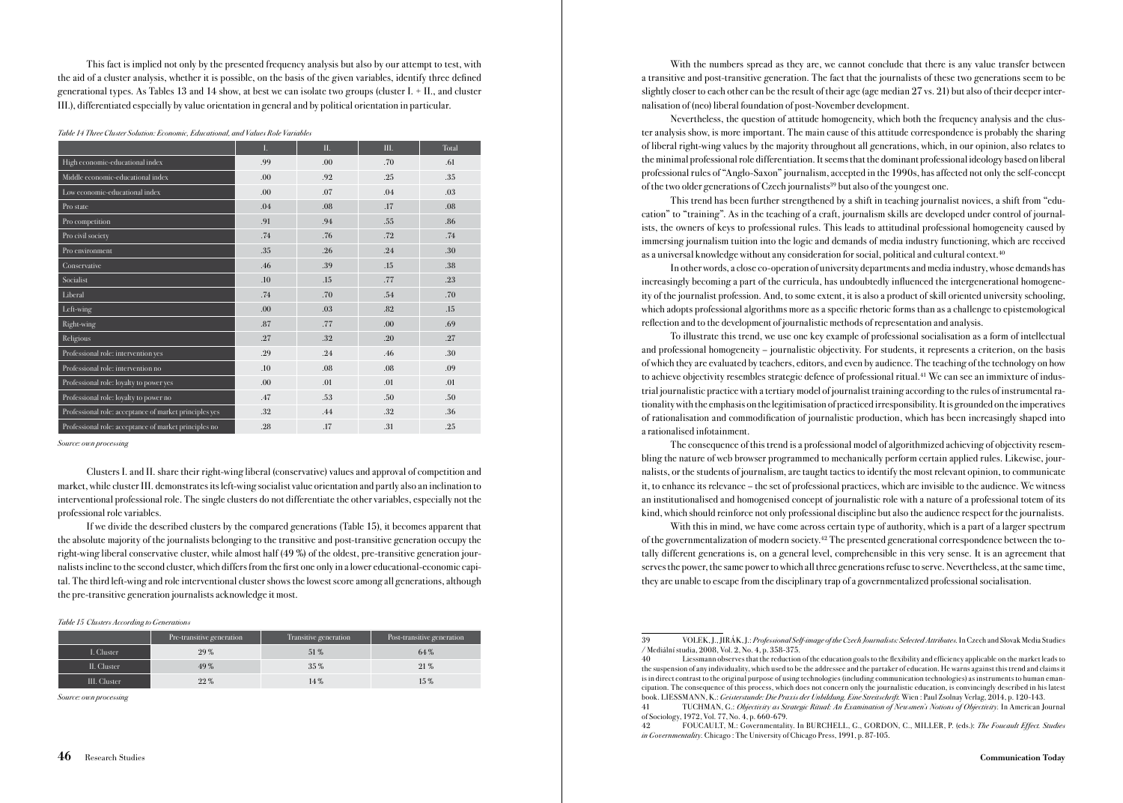This fact is implied not only by the presented frequency analysis but also by our attempt to test, with the aid of a cluster analysis, whether it is possible, on the basis of the given variables, identify three defined generational types. As Tables 13 and 14 show, at best we can isolate two groups (cluster I. + II., and cluster III.), differentiated especially by value orientation in general and by political orientation in particular.

Table 14 Three Cluster Solution: Economic, Educational, and Values Role Variables

|                                                        | L.  | Π.  | III. | Total |
|--------------------------------------------------------|-----|-----|------|-------|
| High economic-educational index                        | .99 | .00 | .70  | .61   |
| Middle economic-educational index                      | .00 | .92 | .25  | .35   |
| Low economic-educational index                         | .00 | .07 | .04  | .03   |
| Pro state                                              | .04 | .08 | .17  | .08   |
| Pro competition                                        | .91 | .94 | .55  | .86   |
| Pro civil society                                      | .74 | .76 | .72  | .74   |
| Pro environment                                        | .35 | .26 | .24  | .30   |
| Conservative                                           | .46 | .39 | .15  | .38   |
| Socialist                                              | .10 | .15 | .77  | .23   |
| Liberal                                                | .74 | .70 | .54  | .70   |
| Left-wing                                              | .00 | .03 | .82  | .15   |
| Right-wing                                             | .87 | .77 | .00  | .69   |
| Religious                                              | .27 | .32 | .20  | .27   |
| Professional role: intervention yes                    | .29 | .24 | .46  | .30   |
| Professional role: intervention no                     | .10 | .08 | .08  | .09   |
| Professional role: loyalty to power yes                | .00 | .01 | .01  | .01   |
| Professional role: loyalty to power no                 | .47 | .53 | .50  | .50   |
| Professional role: acceptance of market principles yes | .32 | .44 | .32  | .36   |
| Professional role: acceptance of market principles no  | .28 | .17 | .31  | .25   |

Source: own processing

Clusters I. and II. share their right-wing liberal (conservative) values and approval of competition and market, while cluster III. demonstrates its left-wing socialist value orientation and partly also an inclination to interventional professional role. The single clusters do not differentiate the other variables, especially not the professional role variables.

If we divide the described clusters by the compared generations (Table 15), it becomes apparent that the absolute majority of the journalists belonging to the transitive and post-transitive generation occupy the right-wing liberal conservative cluster, while almost half (49 %) of the oldest, pre-transitive generation journalists incline to the second cluster, which differs from the first one only in a lower educational-economic capital. The third left-wing and role interventional cluster shows the lowest score among all generations, although the pre-transitive generation journalists acknowledge it most.

#### Table 15 Clusters According to Generations

|              | Pre-transitive generation | Transitive generation | Post-transitive generation |
|--------------|---------------------------|-----------------------|----------------------------|
| I. Cluster   | $29\%$                    | $51\%$                | 64%                        |
| II. Cluster  | 49%                       | $35\%$                | $21\%$                     |
| III. Cluster | $22\%$                    | 14%                   | $15\%$                     |

Source: own processing

With the numbers spread as they are, we cannot conclude that there is any value transfer between a transitive and post-transitive generation. The fact that the journalists of these two generations seem to be slightly closer to each other can be the result of their age (age median 27 vs. 21) but also of their deeper internalisation of (neo) liberal foundation of post-November development.

Nevertheless, the question of attitude homogeneity, which both the frequency analysis and the cluster analysis show, is more important. The main cause of this attitude correspondence is probably the sharing of liberal right-wing values by the majority throughout all generations, which, in our opinion, also relates to the minimal professional role differentiation. It seems that the dominant professional ideology based on liberal professional rules of "Anglo-Saxon" journalism, accepted in the 1990s, has affected not only the self-concept of the two older generations of Czech journalists<sup>39</sup> but also of the youngest one.

This trend has been further strengthened by a shift in teaching journalist novices, a shift from "education" to "training". As in the teaching of a craft, journalism skills are developed under control of journalists, the owners of keys to professional rules. This leads to attitudinal professional homogeneity caused by immersing journalism tuition into the logic and demands of media industry functioning, which are received as a universal knowledge without any consideration for social, political and cultural context.40

In other words, a close co-operation of university departments and media industry, whose demands has increasingly becoming a part of the curricula, has undoubtedly influenced the intergenerational homogeneity of the journalist profession. And, to some extent, it is also a product of skill oriented university schooling, which adopts professional algorithms more as a specific rhetoric forms than as a challenge to epistemological reflection and to the development of journalistic methods of representation and analysis.

To illustrate this trend, we use one key example of professional socialisation as a form of intellectual and professional homogeneity – journalistic objectivity. For students, it represents a criterion, on the basis of which they are evaluated by teachers, editors, and even by audience. The teaching of the technology on how to achieve objectivity resembles strategic defence of professional ritual.41 We can see an immixture of industrial journalistic practice with a tertiary model of journalist training according to the rules of instrumental rationality with the emphasis on the legitimisation of practiced irresponsibility. It is grounded on the imperatives of rationalisation and commodification of journalistic production, which has been increasingly shaped into a rationalised infotainment.

The consequence of this trend is a professional model of algorithmized achieving of objectivity resembling the nature of web browser programmed to mechanically perform certain applied rules. Likewise, journalists, or the students of journalism, are taught tactics to identify the most relevant opinion, to communicate it, to enhance its relevance – the set of professional practices, which are invisible to the audience. We witness an institutionalised and homogenised concept of journalistic role with a nature of a professional totem of its kind, which should reinforce not only professional discipline but also the audience respect for the journalists.

With this in mind, we have come across certain type of authority, which is a part of a larger spectrum of the governmentalization of modern society.42 The presented generational correspondence between the totally different generations is, on a general level, comprehensible in this very sense. It is an agreement that serves the power, the same power to which all three generations refuse to serve. Nevertheless, at the same time, they are unable to escape from the disciplinary trap of a governmentalized professional socialisation.

<sup>39</sup> VOLEK, J., JIRÁK, J.: Professional Self-image of the Czech Journalists: Selected Attributes. In Czech and Slovak Media Studies / Mediální studia, 2008, Vol. 2, No. 4, p. 358-375.

<sup>40</sup> Liessmann observes that the reduction of the education goals to the flexibility and efficiency applicable on the market leads to the suspension of any individuality, which used to be the addressee and the partaker of education. He warns against this trend and claims it is in direct contrast to the original purpose of using technologies (including communication technologies) as instruments to human emancipation. The consequence of this process, which does not concern only the journalistic education, is convincingly described in his latest book. LIESSMANN, K.: Geisterstunde: Die Praxis der Unbildung. Eine Streitschrift. Wien : Paul Zsolnay Verlag, 2014, p. 120-143.

<sup>41</sup> TUCHMAN, G.: Objectivity as Strategic Ritual: An Examination of Newsmen's Notions of Objectivity. In American Journal of Sociology, 1972, Vol. 77, No. 4, p. 660-679.

<sup>42</sup> FOUCAULT, M.: Governmentality. In BURCHELL, G., GORDON, C., MILLER, P. (eds.): The Foucault Effect. Studies in Governmentality. Chicago: The University of Chicago Press, 1991, p. 87-105.